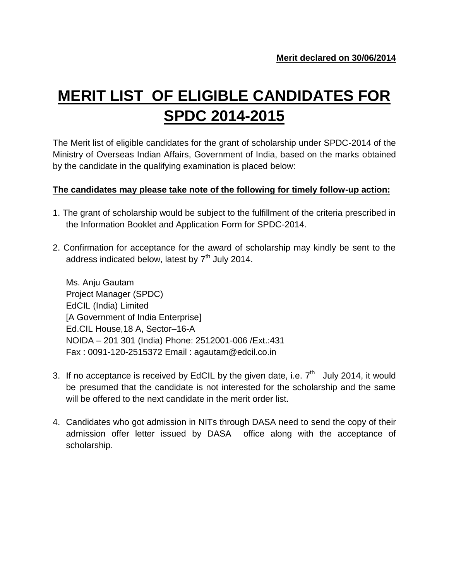## **MERIT LIST OF ELIGIBLE CANDIDATES FOR SPDC 2014-2015**

The Merit list of eligible candidates for the grant of scholarship under SPDC-2014 of the Ministry of Overseas Indian Affairs, Government of India, based on the marks obtained by the candidate in the qualifying examination is placed below:

## **The candidates may please take note of the following for timely follow-up action:**

- 1. The grant of scholarship would be subject to the fulfillment of the criteria prescribed in the Information Booklet and Application Form for SPDC-2014.
- 2. Confirmation for acceptance for the award of scholarship may kindly be sent to the address indicated below, latest by 7<sup>th</sup> July 2014.

Ms. Anju Gautam Project Manager (SPDC) EdCIL (India) Limited [A Government of India Enterprise] Ed.CIL House,18 A, Sector–16-A NOIDA – 201 301 (India) Phone: 2512001-006 /Ext.:431 Fax : 0091-120-2515372 Email : agautam@edcil.co.in

- 3. If no acceptance is received by EdCIL by the given date, i.e.  $7<sup>th</sup>$  July 2014, it would be presumed that the candidate is not interested for the scholarship and the same will be offered to the next candidate in the merit order list.
- 4. Candidates who got admission in NITs through DASA need to send the copy of their admission offer letter issued by DASA office along with the acceptance of scholarship.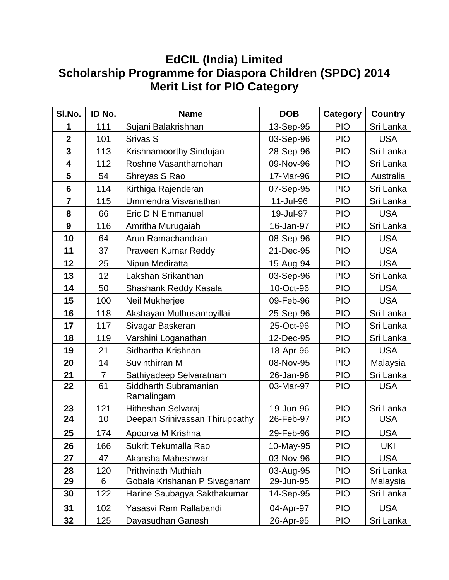## **EdCIL (India) Limited Scholarship Programme for Diaspora Children (SPDC) 2014 Merit List for PIO Category**

| SI.No.                  | ID No.         | <b>Name</b>                         | <b>DOB</b>              | Category   | <b>Country</b> |
|-------------------------|----------------|-------------------------------------|-------------------------|------------|----------------|
| 1                       | 111            | Sujani Balakrishnan                 | 13-Sep-95               | <b>PIO</b> | Sri Lanka      |
| $\overline{\mathbf{2}}$ | 101            | Srivas S                            | 03-Sep-96               | <b>PIO</b> | <b>USA</b>     |
| 3                       | 113            | Krishnamoorthy Sindujan             | 28-Sep-96               | <b>PIO</b> | Sri Lanka      |
| 4                       | 112            | Roshne Vasanthamohan                | 09-Nov-96               | <b>PIO</b> | Sri Lanka      |
| 5                       | 54             | Shreyas S Rao                       | 17-Mar-96               | <b>PIO</b> | Australia      |
| $6\phantom{1}$          | 114            | Kirthiga Rajenderan                 | 07-Sep-95               | <b>PIO</b> | Sri Lanka      |
| $\overline{7}$          | 115            | Ummendra Visvanathan                | 11-Jul-96               | <b>PIO</b> | Sri Lanka      |
| 8                       | 66             | Eric D N Emmanuel                   | 19-Jul-97               | <b>PIO</b> | <b>USA</b>     |
| $\boldsymbol{9}$        | 116            | Amritha Murugaiah                   | 16-Jan-97               | <b>PIO</b> | Sri Lanka      |
| 10                      | 64             | Arun Ramachandran                   | 08-Sep-96               | <b>PIO</b> | <b>USA</b>     |
| 11                      | 37             | Praveen Kumar Reddy                 | 21-Dec-95               | <b>PIO</b> | <b>USA</b>     |
| 12                      | 25             | Nipun Mediratta                     | 15-Aug-94               | <b>PIO</b> | <b>USA</b>     |
| 13                      | 12             | Lakshan Srikanthan                  | 03-Sep-96               | <b>PIO</b> | Sri Lanka      |
| 14                      | 50             | Shashank Reddy Kasala               | 10-Oct-96               | <b>PIO</b> | <b>USA</b>     |
| 15                      | 100            | Neil Mukherjee                      | 09-Feb-96               | <b>PIO</b> | <b>USA</b>     |
| 16                      | 118            | Akshayan Muthusampyillai            | 25-Sep-96               | <b>PIO</b> | Sri Lanka      |
| 17                      | 117            | Sivagar Baskeran                    | 25-Oct-96               | <b>PIO</b> | Sri Lanka      |
| 18                      | 119            | Varshini Loganathan                 | 12-Dec-95               | <b>PIO</b> | Sri Lanka      |
| 19                      | 21             | Sidhartha Krishnan                  | 18-Apr-96               | <b>PIO</b> | <b>USA</b>     |
| 20                      | 14             | Suvinthirran M                      | 08-Nov-95               | <b>PIO</b> | Malaysia       |
| 21                      | $\overline{7}$ | Sathiyadeep Selvaratnam             | 26-Jan-96               | <b>PIO</b> | Sri Lanka      |
| 22                      | 61             | Siddharth Subramanian<br>Ramalingam | 03-Mar-97               | <b>PIO</b> | <b>USA</b>     |
| 23                      | 121            | Hitheshan Selvaraj                  | 19-Jun-96               | <b>PIO</b> | Sri Lanka      |
| 24                      | 10             | Deepan Srinivassan Thiruppathy      | 26-Feb-97               | <b>PIO</b> | <b>USA</b>     |
| 25                      | 174            | Apoorva M Krishna                   | 29-Feb-96<br><b>PIO</b> |            | <b>USA</b>     |
| 26                      | 166            | Sukrit Tekumalla Rao                | 10-May-95               | <b>PIO</b> | <b>UKI</b>     |
| 27                      | 47             | Akansha Maheshwari                  | 03-Nov-96               | <b>PIO</b> | <b>USA</b>     |
| 28                      | 120            | <b>Prithvinath Muthiah</b>          | 03-Aug-95               | <b>PIO</b> | Sri Lanka      |
| 29                      | 6              | Gobala Krishanan P Sivaganam        | 29-Jun-95               | <b>PIO</b> | Malaysia       |
| 30                      | 122            | Harine Saubagya Sakthakumar         | 14-Sep-95               | <b>PIO</b> | Sri Lanka      |
| 31                      | 102            | Yasasvi Ram Rallabandi              | 04-Apr-97               | <b>PIO</b> | <b>USA</b>     |
| 32                      | 125            | Dayasudhan Ganesh                   | 26-Apr-95               | <b>PIO</b> | Sri Lanka      |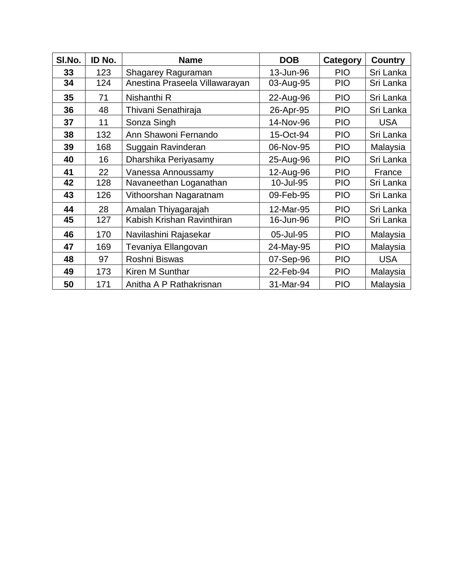| SI.No. | ID No. | <b>Name</b>                    | <b>DOB</b> | <b>Category</b> | <b>Country</b> |
|--------|--------|--------------------------------|------------|-----------------|----------------|
| 33     | 123    | Shagarey Raguraman             | 13-Jun-96  | <b>PIO</b>      | Sri Lanka      |
| 34     | 124    | Anestina Praseela Villawarayan | 03-Aug-95  | <b>PIO</b>      | Sri Lanka      |
| 35     | 71     | Nishanthi R                    | 22-Aug-96  | <b>PIO</b>      | Sri Lanka      |
| 36     | 48     | Thivani Senathiraja            | 26-Apr-95  | <b>PIO</b>      | Sri Lanka      |
| 37     | 11     | Sonza Singh                    | 14-Nov-96  | <b>PIO</b>      | <b>USA</b>     |
| 38     | 132    | Ann Shawoni Fernando           | 15-Oct-94  | <b>PIO</b>      | Sri Lanka      |
| 39     | 168    | Suggain Ravinderan             | 06-Nov-95  | <b>PIO</b>      | Malaysia       |
| 40     | 16     | Dharshika Periyasamy           | 25-Aug-96  | <b>PIO</b>      | Sri Lanka      |
| 41     | 22     | Vanessa Annoussamy             | 12-Aug-96  | <b>PIO</b>      | France         |
| 42     | 128    | Navaneethan Loganathan         | 10-Jul-95  | <b>PIO</b>      | Sri Lanka      |
| 43     | 126    | Vithoorshan Nagaratnam         | 09-Feb-95  | <b>PIO</b>      | Sri Lanka      |
| 44     | 28     | Amalan Thiyagarajah            | 12-Mar-95  | <b>PIO</b>      | Sri Lanka      |
| 45     | 127    | Kabish Krishan Ravinthiran     | 16-Jun-96  | <b>PIO</b>      | Sri Lanka      |
| 46     | 170    | Navilashini Rajasekar          | 05-Jul-95  | <b>PIO</b>      | Malaysia       |
| 47     | 169    | Tevaniya Ellangovan            | 24-May-95  | <b>PIO</b>      | Malaysia       |
| 48     | 97     | Roshni Biswas                  | 07-Sep-96  | <b>PIO</b>      | <b>USA</b>     |
| 49     | 173    | Kiren M Sunthar                | 22-Feb-94  | <b>PIO</b>      | Malaysia       |
| 50     | 171    | Anitha A P Rathakrisnan        | 31-Mar-94  | <b>PIO</b>      | Malaysia       |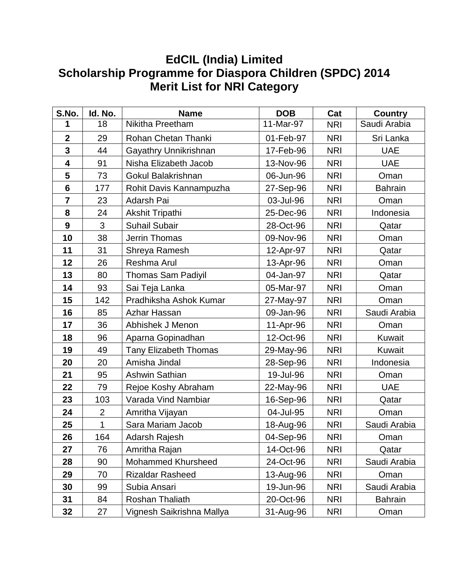## **EdCIL (India) Limited Scholarship Programme for Diaspora Children (SPDC) 2014 Merit List for NRI Category**

| S.No.           | Id. No.        | <b>Name</b>                  | <b>DOB</b> | Cat        | <b>Country</b> |
|-----------------|----------------|------------------------------|------------|------------|----------------|
| 1               | 18             | Nikitha Preetham             | 11-Mar-97  | <b>NRI</b> | Saudi Arabia   |
| $\mathbf{2}$    | 29             | Rohan Chetan Thanki          | 01-Feb-97  | <b>NRI</b> | Sri Lanka      |
| 3               | 44             | Gayathry Unnikrishnan        | 17-Feb-96  | <b>NRI</b> | <b>UAE</b>     |
| 4               | 91             | Nisha Elizabeth Jacob        | 13-Nov-96  | <b>NRI</b> | <b>UAE</b>     |
| 5               | 73             | Gokul Balakrishnan           | 06-Jun-96  | <b>NRI</b> | Oman           |
| $6\phantom{1}6$ | 177            | Rohit Davis Kannampuzha      | 27-Sep-96  | <b>NRI</b> | <b>Bahrain</b> |
| 7               | 23             | Adarsh Pai                   | 03-Jul-96  | <b>NRI</b> | Oman           |
| 8               | 24             | <b>Akshit Tripathi</b>       | 25-Dec-96  | <b>NRI</b> | Indonesia      |
| 9               | 3              | <b>Suhail Subair</b>         | 28-Oct-96  | <b>NRI</b> | Qatar          |
| 10              | 38             | Jerrin Thomas                | 09-Nov-96  | <b>NRI</b> | Oman           |
| 11              | 31             | Shreya Ramesh                | 12-Apr-97  | <b>NRI</b> | Qatar          |
| 12              | 26             | Reshma Arul                  | 13-Apr-96  | <b>NRI</b> | Oman           |
| 13              | 80             | <b>Thomas Sam Padiyil</b>    | 04-Jan-97  | <b>NRI</b> | Qatar          |
| 14              | 93             | Sai Teja Lanka               | 05-Mar-97  | <b>NRI</b> | Oman           |
| 15              | 142            | Pradhiksha Ashok Kumar       | 27-May-97  | <b>NRI</b> | Oman           |
| 16              | 85             | Azhar Hassan                 | 09-Jan-96  | <b>NRI</b> | Saudi Arabia   |
| 17              | 36             | Abhishek J Menon             | 11-Apr-96  | <b>NRI</b> | Oman           |
| 18              | 96             | Aparna Gopinadhan            | 12-Oct-96  | <b>NRI</b> | <b>Kuwait</b>  |
| 19              | 49             | <b>Tany Elizabeth Thomas</b> | 29-May-96  | <b>NRI</b> | <b>Kuwait</b>  |
| 20              | 20             | Amisha Jindal                | 28-Sep-96  | <b>NRI</b> | Indonesia      |
| 21              | 95             | <b>Ashwin Sathian</b>        | 19-Jul-96  | <b>NRI</b> | Oman           |
| 22              | 79             | Rejoe Koshy Abraham          | 22-May-96  | <b>NRI</b> | <b>UAE</b>     |
| 23              | 103            | Varada Vind Nambiar          | 16-Sep-96  | <b>NRI</b> | Qatar          |
| 24              | $\overline{2}$ | Amritha Vijayan              | 04-Jul-95  | <b>NRI</b> | Oman           |
| 25              | 1              | Sara Mariam Jacob            | 18-Aug-96  | <b>NRI</b> | Saudi Arabia   |
| 26              | 164            | Adarsh Rajesh                | 04-Sep-96  | <b>NRI</b> | Oman           |
| 27              | 76             | Amritha Rajan                | 14-Oct-96  | <b>NRI</b> | Qatar          |
| 28              | 90             | Mohammed Khursheed           | 24-Oct-96  | <b>NRI</b> | Saudi Arabia   |
| 29              | 70             | <b>Rizaldar Rasheed</b>      | 13-Aug-96  | <b>NRI</b> | Oman           |
| 30              | 99             | Subia Ansari                 | 19-Jun-96  | <b>NRI</b> | Saudi Arabia   |
| 31              | 84             | Roshan Thaliath              | 20-Oct-96  | <b>NRI</b> | <b>Bahrain</b> |
| 32              | 27             | Vignesh Saikrishna Mallya    | 31-Aug-96  | NRI        | Oman           |